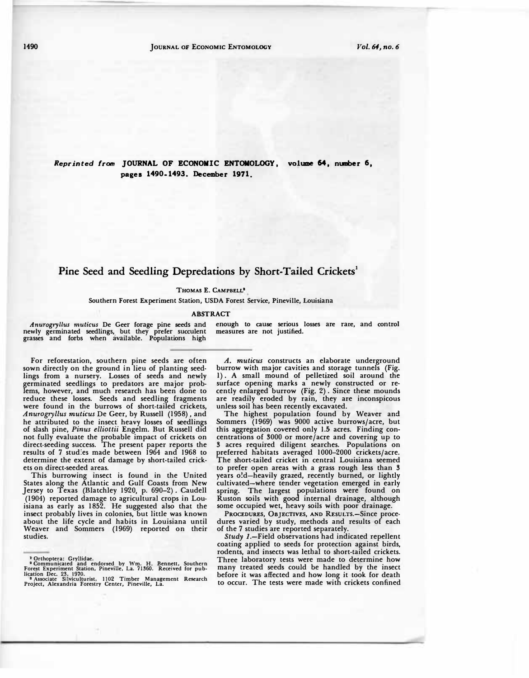*Reprinted from* **JOURNAL OF ECONOMIC ENTOMOLOGY, volume 64, number 6, pages 1490-1493. December 1971.** 

## Pine Seed and Seedling Depredations by Short-Tailed Crickets<sup>1</sup>

## THOMAS E. CAMPBELL'

**Southern Forest Experiment Station, USDA Forest Service, Pineville, Louisiana \_**

## **ABSTRACT**

*Anurogryllus muticus* **De Geer forage pine seeds and**  newly germinated seedlings, but they prefer succulent **grasses and forbs when available. Populations high**  **enough to cause serious losses are rare, and control measures are not. justified.** 

**For reforestation, southern pine seeds are often sown directly on the ground in lieu of planting seedlings from a nursery. Losses of seeds and newly germinated seedlings to predators are major problems, however, and much research has been done to reduce these losses. Seeds and seedling fragments were found in the burrows of short-tailed crickets,**  *Anurogryllus muticus* **De Geer, by Russell (1958), and he attributed to the insect heavy losses of seedlings of slash pine,** *Pinus elliottii* **Engelm. But Russell did not fully evaluate the probable impact of crickets on direct-seeding success. The present paper reports the results of 7 stud:es made between 1964 and 1968 to determine the extent of damage by short-tailed crickets on direct-seeded areas.** 

**This burrowing insect is found in the United States along the Atlantic and Gulf Coasts from New Jersey to Texas (Blatchley 1920, p. 690-2). Caudell (1904) reported damage to agricultural crops in Louisiana as early as 1852. He suggested also that the insect probably lives in colonies, but little was known about the life cycle and habits in Louisiana until Weaver and Sommers (1969) reported on their studies.** 

*A. muticus* **constructs an elaborate underground burrow with major cavities and storage tunnels (Fig. 1) . A small mound of pelletized soil around the**  surface opening marks a newly constructed or re**cently enlarged burrow (Fig. 2) . Since these mounds are readily eroded by rain, they are inconspicous unless soil has been recently excavated.** 

**The highest population found by Weaver and Sommers (1969) was 9000 active burrows/acre, but this aggregation coveted only 1.5 acres. Finding concentrations of 3000 or more/acre and covering up to 3 acres required diligent searches. Populations on preferred habitats averaged 1000-2000 crickets/acre. The short-tailed cricket in central Louisiana seemed to prefer open areas with a grass rough less than 3 years o!d-heavily grazed, recently burned, or lightly cultivated-where tender vegetation emerged in early spring. The largest populations were found on Ruston soils with good internal drainage, although some occupied wet, heavy soils with poor drainage.** 

**PROCEDURES, OBJECTIVES, AND REsULTS.-Since procedures varied by study, methods and results of each of the 7 studies are reported separately.** 

*Study* **J.-Field observations had indicated repellent coating applied to seeds for protection against birds, rodents, and insects was lethal to short-tailed crickets. Three laboratory tests were made to determine how many treated seeds could be handled by the insect before it was affected and how long it took for death to occur. The tests were made with crickets confined** 

<sup>&</sup>lt;sup>2</sup> Orthoptera: Gryllidae.<br><sup>2</sup> Communicated and endorsed by Wm. H. Bennett, Southern<br>Forest Experiment Station, Pineville, La. 71360. Received for pub-<br> $^3$  Associate Silviculturist, 1102 Timber Management Research<br> $^3$  A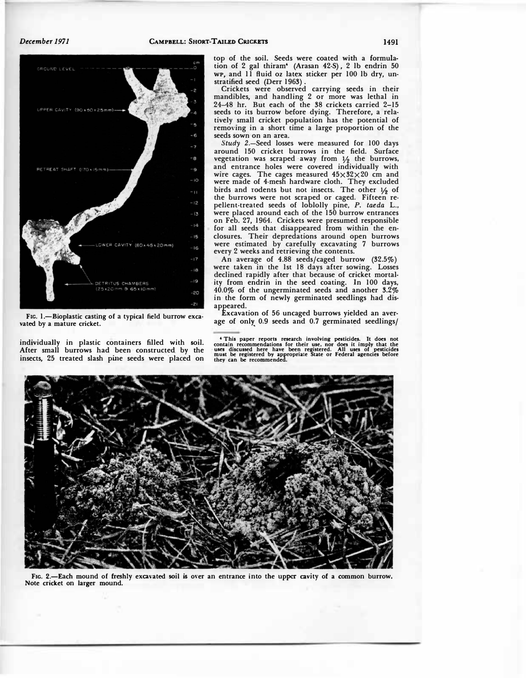

FIG. 1.-Bioplastic casting of a typical field burrow exca**vated by a mature cricket.** 

**individually in plastic containers filled with soil.**  After small burrows had been constructed by the **insects, 25 treated slash pine seeds were ·placed on**  **top of the soil. Seeds were coated with a formulation of 2 gal thiram• (Arasan 42-S), 2 lb endrin 50**  wp, and 11 fluid oz latex sticker per 100 lb dry, un**stratified seed (Derr 1963).** 

**Crickets were observed carrying seeds in their mandibles, and handling 2 or more was lethal in .24-48 hr. But each of the 38 crickets carried 2-15 seeds to its burrow before dying. Therefore, a relatively small cricket population has the potential of removing in a short time a large proportion of the seeds sown on an area.** 

*Study* **2.-Seed losses were measured for 100 days around 150 cricket burrows in the field. Surface vegetation was scraped ·away from** ½ **the burrows, and entrance holes were covered individually with**  wire cages. The cages measured  $45\times32\times20$  cm and **were made of 4-mesh hardware cloth. They excluded birds and rodents but not insects. The other ½ of the burrows were not scraped or caged. Fifteen repellent-treated seeds of loblolly pine,** *P. taeda* **L., were placed around each of the 150 burrow entrances on Feb. 27, 1964. Crickets were presumed responsible**  for all seeds that disappeared from within the en**closures. Their depredations around open burrows were ·estimated by carefully excavating 7 burrows every 2 weeks and retrieving the contents.** 

**An average of 4.88 seeds/caged burrow (32.5%) were taken in the 1st 18 days after sowing. Losses declined rapidly after that because of cricket mortal- . ity from endrin in the seed coating. In 100 days, 40.0% of the ungerminated seeds and another 3.2%**  in the form of newly germinated seedlings had dis**appeared.** 

**Excavation of 56 uncaged burrows yielded an average of only \_ 0.9 seeds and 0.7 germinat�d seedlings/** 

<sup>4</sup> This paper reports research involving pesticides. It does not<br>contain recommendations for their use, nor does it imply that the<br>uses discussed here have been registered. All uses of pesticides<br>must be registered by app



FIG. 2.-Each mound of freshly excavated soil is over an entrance into the upper cavity of a common burrow. **Note cricket on larger mound.**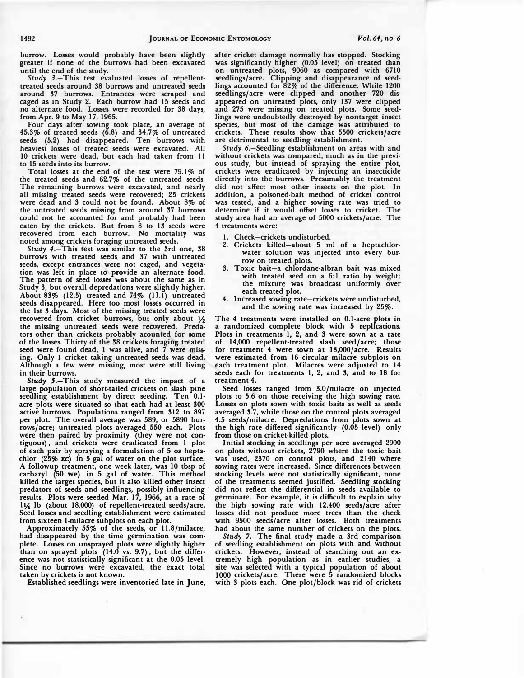**burrow. Losses would probably have been slightly greater if none of the burrows had been excavated until the end of the study.** 

*Study* **J.-This test evaluated losses of repellenttreated seeds around 38 burrows and untreated seeds around 37 burrows. Entrances were scraped and caged as in Study 2. Each burrow had 15 seeds and no alternate food. Losses were recorded for 38 days, from Apr. 9 to May 17, 1965.** 

**Four days after sowing took place, an average of 45.3% of treated seeds (6.8) and 34.7% of untreated**  seeds (5.2) had disappeared. Ten burrows with **heaviest losses of treated seeds were excavated. All 10 crickets were dead, but each had taken from 11 to 15 seeds into its burrow.** 

**Total losses at the end of the test were 79.1 % of the treated seeds and 62.7% of the untreated seeds. The remaining burrows were excavated, and nearly all missing treated seeds were recovered; 25 crickets were dead and 3 could not be found. About 8% of the untreated seeds missing from around 37 burrows could not be accounted for and probably had been eaten by the crickets. But from 8 to 13 seeds were recovered from each burrow. No mortality was · noted among crickets foraging untreated seeds.** 

*Study 4* **.-This test was similar to the 3rd one, 38 burrows with treated seeds. and 37 with untreated**  seeds, except entrances were not caged, and vegetation was left in place to provide an alternate food.<br>The pattern of seed losses was about the same as in seeds, except entrances were not caged, and vegeta-The pattern of seed losses was about the same as in **Study 3, but" overall depredations were slightly higher.**  About 83% (12.5) treated and 74% (11.1) untreated **seeds disappeared. Here too most losses occurred in the 1st 3 days. Most of the missing treated seeds were**  recovered from cricket burrows, but only about  $1/2$ the missing untreated seeds were recovered. Preda**tors other than crickets probably acounted for some**  of the losses. Thirty of the 38 crickets foraging treated seed were found dead, I was alive, and 7 were miss**ing. Only l cricket taking untreated seeds was dead. Although a few were missing, most were still living in their burrows.** 

**Study 5.-This study measured the impact of a large population of short-tailed crickets on slash pine seedling establishment by direct seeding. Ten 0.1 acre plots were situated so that each had at least 300 active burrows. Populations ranged from 312 to 897 per plot. The overall average was 589, or 5890 burrows/ acre; untreated plots averaged \_550 each. Plots were then paired by proximity (they were not contiguous) , and crickets were eradicated from 1 plot of each pair by spraying a formulation of 5 oz heptachlor** (25% **EC)** in 5 gal of water on the plot surface. **A followup treatment, one week later, was IO tbsp of carbaryl (50 WP) in 5 gal of water. This method killed the target species, but it also killed other insect**  predators of seeds and seedlings, possibly influencing **results. Plots were seeded Mar. 17, 1966, at a rate of I¼ lb (about 18,000) of repellent-treated seeds/acre. Seed losses and seedling establishment were estimated from sixteen 1-milacre subplots on each plot.** 

**Approximately 55% of the seeds, or 11.8/milacre, had disappeared by the time germination was complete. Lo55es on unsprayed plots were slightly higher than on sprayed plots (14.0 vs. 9.7), but the difference was not statistically significant at the 0.05 level. Since no burrows were excavated, the exact total**  taken by crickets is not known.

**Established seedlings were inventoried late in June,** 

**after cricket damage normally has stopped. Stocking was significantly higher (0.05 level) on treated than on untreated plots, 9060 as compared with 6710 seedlings/acre. Clipping and disappearance of seedlings accounted for 82% of the difference. While 1200**  seedlings/acre were clipped and another 720 dis**appeared on untreated plots, only 137 were clipped and 275 were missing on treated plots. Some seedlings were undoubtedly destroyed by nontarget insect species, but most of the damage was attributed to crickets. These results show that 5500 crickets/acre are detrimental to seedling establishment.** 

*Study* **6.-Seedling establishment on areas with and without crickets was compared, much as in the previous study, but instead of spraying the entire plot, crickets were eradicated by injecting an insecticide directly into the burrows. Presumably the treatment did not · affect most other insects on the plot. In addition, a poisoned-bait method of cricket control was tested, and a higher sowing rate was tried to determine if it would offset losses to cricket. The study area had an average of 5000 crickets/acre. The 4 treatments were:** 

- **1. Check-crickets undisturbed.**
- **2. Crickets killed-about 5 ml of a heptachlorwater solution was injected into every burrow on treated plots.**
- **3. Toxic bait-a chlordane-albran bait was mixed**  with treated seed on a 6:1 ratio by weight; **the mixtur� was broadcast uniformly over each treated plot.**
- **4. Increased sowing rate-crickets were undisturbed, and the sowing rate was increased by 25%.**

**The 4 treatments were installed on 0.1-acre plots in a randomized complete block with 5 replications. Plots in treatments 1, 2, and 3 were sown at a rate of 14,000 repellent-treated slash seed/acre; those for treatment 4 were sown at 18,000/acre. Results were estimated from 16 circular milacre subplots on each treatment plot. Milacres were adjusted to 14 seeds each for treatments 1, 2, and 3, and to 18 for treatment 4.** 

**Seed losses ranged from 3.0/milacre on injected plots to 5.6 on those receiving the high sowing rate. Losses on plots sown with toxic baits as well as seeds averaged 3.7, while those on the control plots averaged 4.5 seeds/milacre. Depredations from plots sown at the high rate differed significantly (0.05 level) only from those on cricket-killed plots.** 

**Initial stocking in seedlings per acre averaged 2900 on plots without crickets, 2790 where the toxic bait was used, 2370 on control plots, and 2140 where**  sowing rates were increased. Since differences between **stocking levels were not statistically significant, none of the treatments seemed justified. Seedling stocking did not reflect the differc;ntial in seeds available to germinate. For example, it is difficult to explain why**  the high sowing rate with 12,400 seeds/acre after **losses did not produce more trees than the check with 9500 seeds/acre after losses. Both treatments had about the same number of crickets on the plots.** 

*Study* **7.-The final study made a 3rd comparison**  of seedling establishment on plots with and without<br>crickets. However, instead of searching out an excrickets. However, instead of searching out an ex**tremely high population ·as in earlier studies, a site was selected with a typical population of about 1000 crickets/acre. There were 5 randomized blocks**  with 3 plots each. One plot/block was rid of crickets